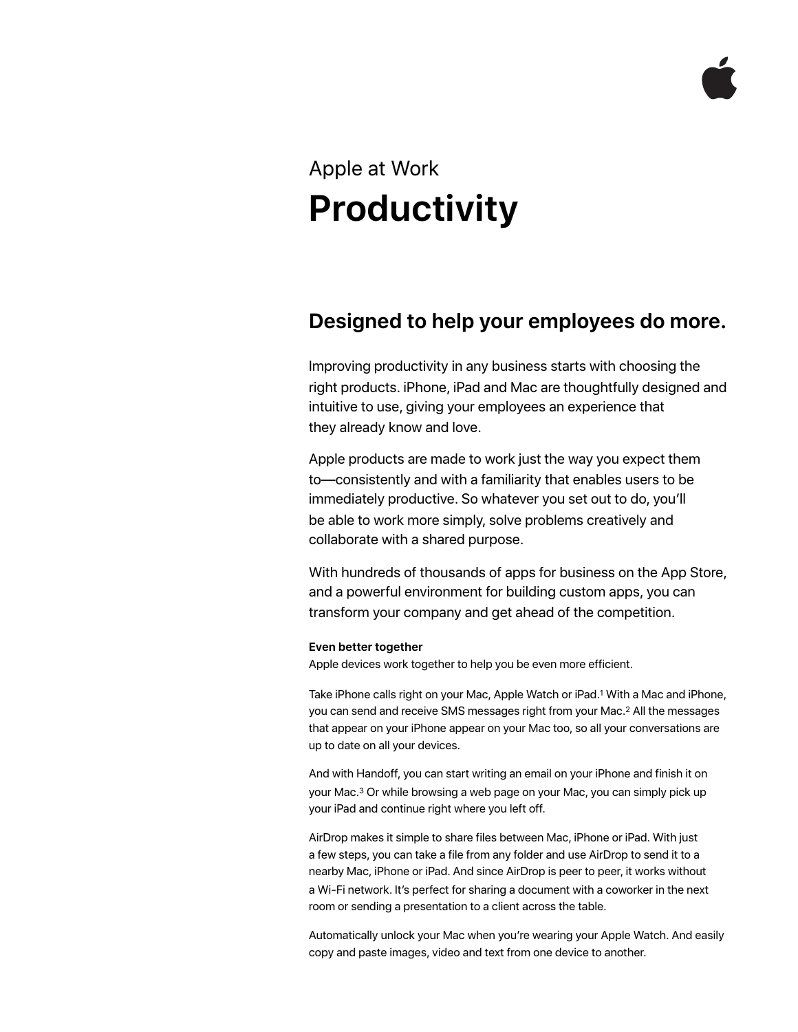# Apple at Work **Productivity**

# **Designed to help your employees do more.**

Improving productivity in any business starts with choosing the right products. iPhone, iPad and Mac are thoughtfully designed and intuitive to use, giving your employees an experience that they already know and love.

Apple products are made to work just the way you expect them to—consistently and with a familiarity that enables users to be immediately productive. So whatever you set out to do, you'll be able to work more simply, solve problems creatively and collaborate with a shared purpose.

With hundreds of thousands of apps for business on the App Store, and a powerful environment for building custom apps, you can transform your company and get ahead of the competition.

# **Even better together**

Apple devices work together to help you be even more efficient.

Take iPhone calls right on your Mac, Apple Watch or iPad.1 With a Mac and iPhone, you can send and receive SMS messages right from your Mac.2 All the messages that appear on your iPhone appear on your Mac too, so all your conversations are up to date on all your devices.

And with Handoff, you can start writing an email on your iPhone and finish it on your Mac.3 Or while browsing a web page on your Mac, you can simply pick up your iPad and continue right where you left off.

AirDrop makes it simple to share files between Mac, iPhone or iPad. With just a few steps, you can take a file from any folder and use AirDrop to send it to a nearby Mac, iPhone or iPad. And since AirDrop is peer to peer, it works without a Wi-Fi network. It's perfect for sharing a document with a coworker in the next room or sending a presentation to a client across the table.

Automatically unlock your Mac when you're wearing your Apple Watch. And easily copy and paste images, video and text from one device to another.